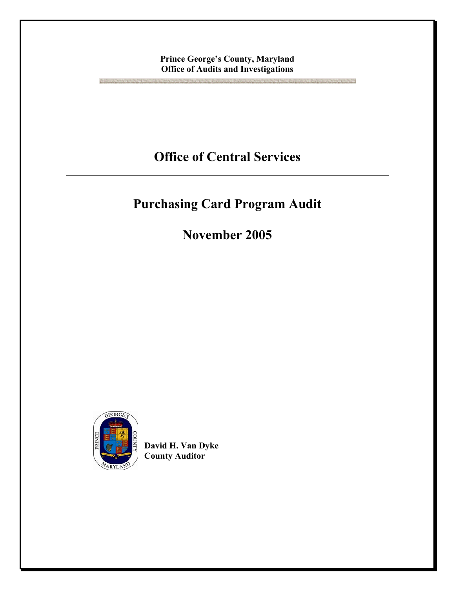## **Prince George's County, Maryland Office of Audits and Investigations**

**Office of Central Services** 

## **Purchasing Card Program Audit**

**November 2005** 



**BRIDGE MARGAZING** 

**David H. Van Dyke County Auditor**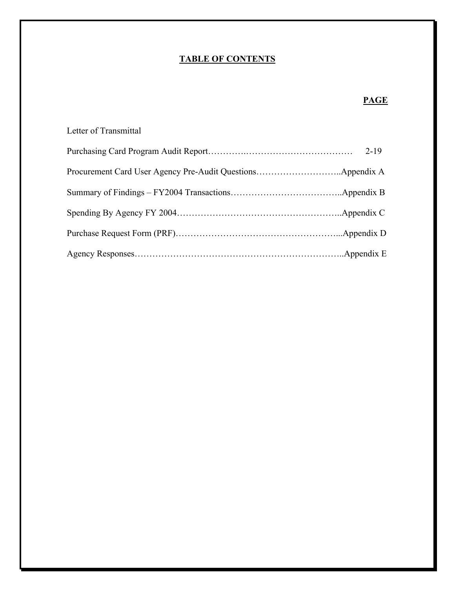#### **TABLE OF CONTENTS**

## **PAGE**

# Letter of Transmittal Purchasing Card Program Audit Report………….……………………………… 2-19 Procurement Card User Agency Pre-Audit Questions………………………..Appendix A Summary of Findings – FY2004 Transactions………………………………..Appendix B Spending By Agency FY 2004………………………………………………..Appendix C Purchase Request Form (PRF)………………………………………………...Appendix D Agency Responses……………………………………………………………..Appendix E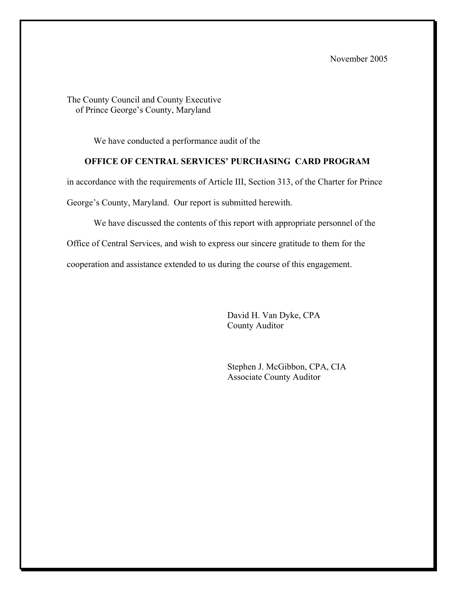November 2005

The County Council and County Executive of Prince George's County, Maryland

We have conducted a performance audit of the

#### **OFFICE OF CENTRAL SERVICES' PURCHASING CARD PROGRAM**

in accordance with the requirements of Article III, Section 313, of the Charter for Prince

George's County, Maryland. Our report is submitted herewith.

We have discussed the contents of this report with appropriate personnel of the Office of Central Services, and wish to express our sincere gratitude to them for the cooperation and assistance extended to us during the course of this engagement.

> David H. Van Dyke, CPA County Auditor

 Stephen J. McGibbon, CPA, CIA Associate County Auditor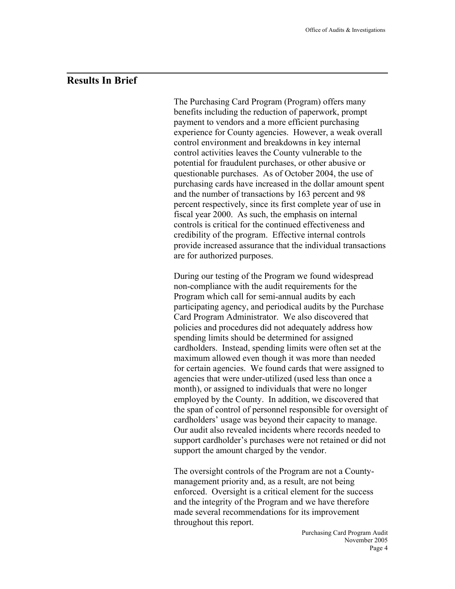## **Results In Brief**

l

The Purchasing Card Program (Program) offers many benefits including the reduction of paperwork, prompt payment to vendors and a more efficient purchasing experience for County agencies. However, a weak overall control environment and breakdowns in key internal control activities leaves the County vulnerable to the potential for fraudulent purchases, or other abusive or questionable purchases. As of October 2004, the use of purchasing cards have increased in the dollar amount spent and the number of transactions by 163 percent and 98 percent respectively, since its first complete year of use in fiscal year 2000. As such, the emphasis on internal controls is critical for the continued effectiveness and credibility of the program. Effective internal controls provide increased assurance that the individual transactions are for authorized purposes.

During our testing of the Program we found widespread non-compliance with the audit requirements for the Program which call for semi-annual audits by each participating agency, and periodical audits by the Purchase Card Program Administrator. We also discovered that policies and procedures did not adequately address how spending limits should be determined for assigned cardholders. Instead, spending limits were often set at the maximum allowed even though it was more than needed for certain agencies. We found cards that were assigned to agencies that were under-utilized (used less than once a month), or assigned to individuals that were no longer employed by the County. In addition, we discovered that the span of control of personnel responsible for oversight of cardholders' usage was beyond their capacity to manage. Our audit also revealed incidents where records needed to support cardholder's purchases were not retained or did not support the amount charged by the vendor.

The oversight controls of the Program are not a Countymanagement priority and, as a result, are not being enforced. Oversight is a critical element for the success and the integrity of the Program and we have therefore made several recommendations for its improvement throughout this report.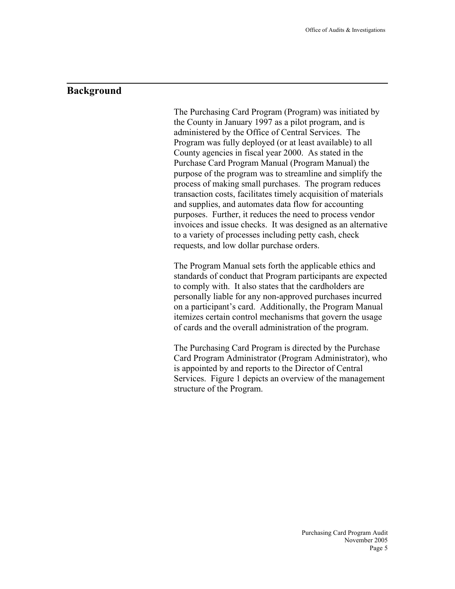## **Background**

l

The Purchasing Card Program (Program) was initiated by the County in January 1997 as a pilot program, and is administered by the Office of Central Services. The Program was fully deployed (or at least available) to all County agencies in fiscal year 2000. As stated in the Purchase Card Program Manual (Program Manual) the purpose of the program was to streamline and simplify the process of making small purchases. The program reduces transaction costs, facilitates timely acquisition of materials and supplies, and automates data flow for accounting purposes. Further, it reduces the need to process vendor invoices and issue checks. It was designed as an alternative to a variety of processes including petty cash, check requests, and low dollar purchase orders.

The Program Manual sets forth the applicable ethics and standards of conduct that Program participants are expected to comply with. It also states that the cardholders are personally liable for any non-approved purchases incurred on a participant's card. Additionally, the Program Manual itemizes certain control mechanisms that govern the usage of cards and the overall administration of the program.

The Purchasing Card Program is directed by the Purchase Card Program Administrator (Program Administrator), who is appointed by and reports to the Director of Central Services. Figure 1 depicts an overview of the management structure of the Program.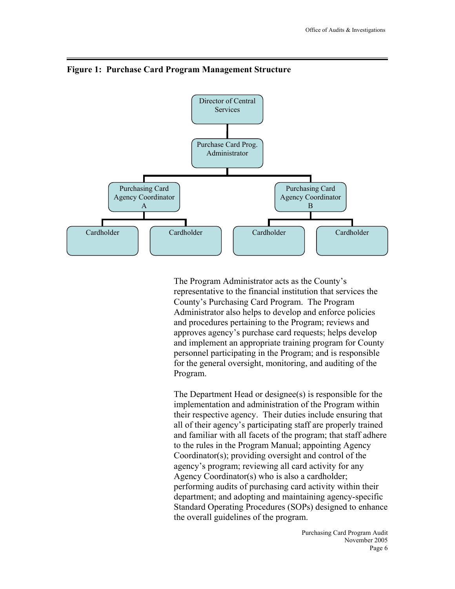

#### **Figure 1: Purchase Card Program Management Structure**

The Program Administrator acts as the County's representative to the financial institution that services the County's Purchasing Card Program. The Program Administrator also helps to develop and enforce policies and procedures pertaining to the Program; reviews and approves agency's purchase card requests; helps develop and implement an appropriate training program for County personnel participating in the Program; and is responsible for the general oversight, monitoring, and auditing of the Program.

The Department Head or designee(s) is responsible for the implementation and administration of the Program within their respective agency. Their duties include ensuring that all of their agency's participating staff are properly trained and familiar with all facets of the program; that staff adhere to the rules in the Program Manual; appointing Agency Coordinator(s); providing oversight and control of the agency's program; reviewing all card activity for any Agency Coordinator(s) who is also a cardholder; performing audits of purchasing card activity within their department; and adopting and maintaining agency-specific Standard Operating Procedures (SOPs) designed to enhance the overall guidelines of the program.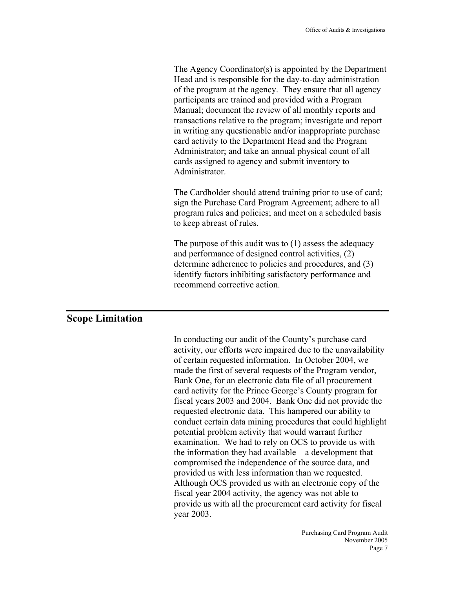The Agency Coordinator(s) is appointed by the Department Head and is responsible for the day-to-day administration of the program at the agency. They ensure that all agency participants are trained and provided with a Program Manual; document the review of all monthly reports and transactions relative to the program; investigate and report in writing any questionable and/or inappropriate purchase card activity to the Department Head and the Program Administrator; and take an annual physical count of all cards assigned to agency and submit inventory to Administrator.

The Cardholder should attend training prior to use of card; sign the Purchase Card Program Agreement; adhere to all program rules and policies; and meet on a scheduled basis to keep abreast of rules.

The purpose of this audit was to (1) assess the adequacy and performance of designed control activities, (2) determine adherence to policies and procedures, and (3) identify factors inhibiting satisfactory performance and recommend corrective action.

## **Scope Limitation**

In conducting our audit of the County's purchase card activity, our efforts were impaired due to the unavailability of certain requested information. In October 2004, we made the first of several requests of the Program vendor, Bank One, for an electronic data file of all procurement card activity for the Prince George's County program for fiscal years 2003 and 2004. Bank One did not provide the requested electronic data. This hampered our ability to conduct certain data mining procedures that could highlight potential problem activity that would warrant further examination. We had to rely on OCS to provide us with the information they had available – a development that compromised the independence of the source data, and provided us with less information than we requested. Although OCS provided us with an electronic copy of the fiscal year 2004 activity, the agency was not able to provide us with all the procurement card activity for fiscal year 2003.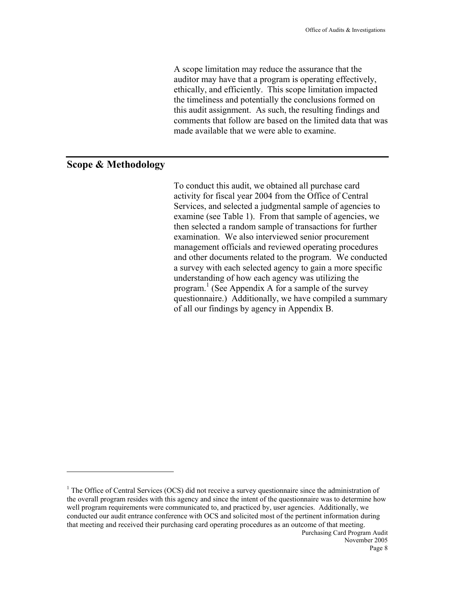A scope limitation may reduce the assurance that the auditor may have that a program is operating effectively, ethically, and efficiently. This scope limitation impacted the timeliness and potentially the conclusions formed on this audit assignment. As such, the resulting findings and comments that follow are based on the limited data that was made available that we were able to examine.

## **Scope & Methodology**

 $\overline{a}$ 

To conduct this audit, we obtained all purchase card activity for fiscal year 2004 from the Office of Central Services, and selected a judgmental sample of agencies to examine (see Table 1). From that sample of agencies, we then selected a random sample of transactions for further examination. We also interviewed senior procurement management officials and reviewed operating procedures and other documents related to the program. We conducted a survey with each selected agency to gain a more specific understanding of how each agency was utilizing the program. 1 (See Appendix A for a sample of the survey questionnaire.) Additionally, we have compiled a summary of all our findings by agency in Appendix B.

Purchasing Card Program Audit  $<sup>1</sup>$  The Office of Central Services (OCS) did not receive a survey questionnaire since the administration of</sup> the overall program resides with this agency and since the intent of the questionnaire was to determine how well program requirements were communicated to, and practiced by, user agencies. Additionally, we conducted our audit entrance conference with OCS and solicited most of the pertinent information during that meeting and received their purchasing card operating procedures as an outcome of that meeting.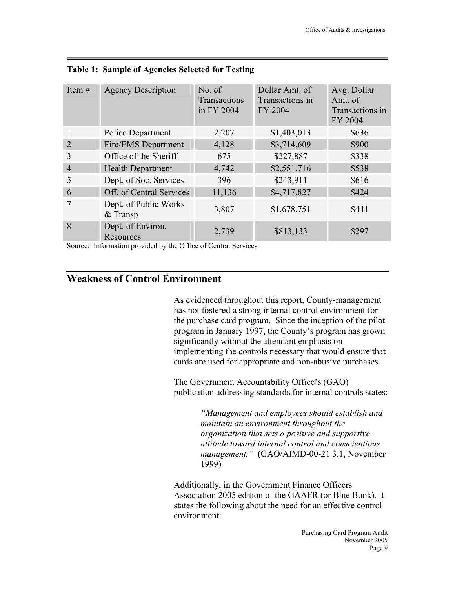| Item $#$                    | <b>Agency Description</b>           | No. of<br>Transactions<br>in FY 2004 | Dollar Amt. of<br>Transactions in<br>FY 2004 | Avg. Dollar<br>Amt. of<br>Transactions in<br>FY 2004 |
|-----------------------------|-------------------------------------|--------------------------------------|----------------------------------------------|------------------------------------------------------|
| 1                           | Police Department                   | 2,207                                | \$1,403,013                                  | \$636                                                |
| $\mathcal{D}_{\mathcal{L}}$ | Fire/EMS Department                 | 4,128                                | \$3,714,609                                  | \$900                                                |
| 3                           | Office of the Sheriff               | 675                                  | \$227,887                                    | \$338                                                |
| 4                           | <b>Health Department</b>            | 4,742                                | \$2,551,716                                  | \$538                                                |
| 5                           | Dept. of Soc. Services              | 396                                  | \$243,911                                    | \$616                                                |
| 6                           | Off. of Central Services            | 11,136                               | \$4,717,827                                  | \$424                                                |
| 7                           | Dept. of Public Works<br>$&$ Transp | 3,807                                | \$1,678,751                                  | \$441                                                |
| 8                           | Dept. of Environ.<br>Resources      | 2,739                                | \$813,133                                    | \$297                                                |

Source: Information provided by the Office of Central Services

## **Weakness of Control Environment**

As evidenced throughout this report, County-management has not fostered a strong internal control environment for the purchase card program. Since the inception of the pilot program in January 1997, the County's program has grown significantly without the attendant emphasis on implementing the controls necessary that would ensure that cards are used for appropriate and non-abusive purchases.

The Government Accountability Office's (GAO) publication addressing standards for internal controls states:

> *"Management and employees should establish and maintain an environment throughout the organization that sets a positive and supportive attitude toward internal control and conscientious management."* (GAO/AIMD-00-21.3.1, November 1999)

Additionally, in the Government Finance Officers Association 2005 edition of the GAAFR (or Blue Book), it states the following about the need for an effective control environment: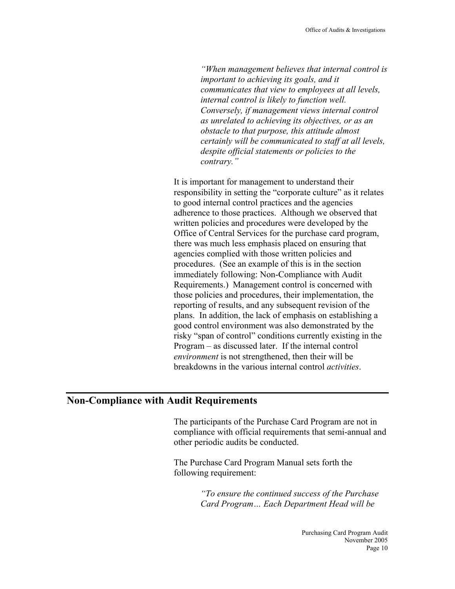*"When management believes that internal control is important to achieving its goals, and it communicates that view to employees at all levels, internal control is likely to function well. Conversely, if management views internal control as unrelated to achieving its objectives, or as an obstacle to that purpose, this attitude almost certainly will be communicated to staff at all levels, despite official statements or policies to the contrary."* 

It is important for management to understand their responsibility in setting the "corporate culture" as it relates to good internal control practices and the agencies adherence to those practices. Although we observed that written policies and procedures were developed by the Office of Central Services for the purchase card program, there was much less emphasis placed on ensuring that agencies complied with those written policies and procedures. (See an example of this is in the section immediately following: Non-Compliance with Audit Requirements.) Management control is concerned with those policies and procedures, their implementation, the reporting of results, and any subsequent revision of the plans. In addition, the lack of emphasis on establishing a good control environment was also demonstrated by the risky "span of control" conditions currently existing in the Program – as discussed later. If the internal control *environment* is not strengthened, then their will be breakdowns in the various internal control *activities*.

#### **Non-Compliance with Audit Requirements**

The participants of the Purchase Card Program are not in compliance with official requirements that semi-annual and other periodic audits be conducted.

The Purchase Card Program Manual sets forth the following requirement:

> *"To ensure the continued success of the Purchase Card Program… Each Department Head will be*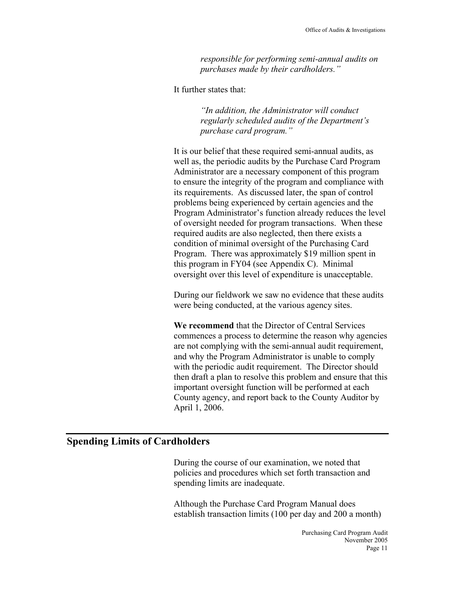*responsible for performing semi-annual audits on purchases made by their cardholders."* 

It further states that:

*"In addition, the Administrator will conduct regularly scheduled audits of the Department's purchase card program."* 

It is our belief that these required semi-annual audits, as well as, the periodic audits by the Purchase Card Program Administrator are a necessary component of this program to ensure the integrity of the program and compliance with its requirements. As discussed later, the span of control problems being experienced by certain agencies and the Program Administrator's function already reduces the level of oversight needed for program transactions. When these required audits are also neglected, then there exists a condition of minimal oversight of the Purchasing Card Program. There was approximately \$19 million spent in this program in FY04 (see Appendix C). Minimal oversight over this level of expenditure is unacceptable.

During our fieldwork we saw no evidence that these audits were being conducted, at the various agency sites.

**We recommend** that the Director of Central Services commences a process to determine the reason why agencies are not complying with the semi-annual audit requirement, and why the Program Administrator is unable to comply with the periodic audit requirement. The Director should then draft a plan to resolve this problem and ensure that this important oversight function will be performed at each County agency, and report back to the County Auditor by April 1, 2006.

## **Spending Limits of Cardholders**

During the course of our examination, we noted that policies and procedures which set forth transaction and spending limits are inadequate.

Although the Purchase Card Program Manual does establish transaction limits (100 per day and 200 a month)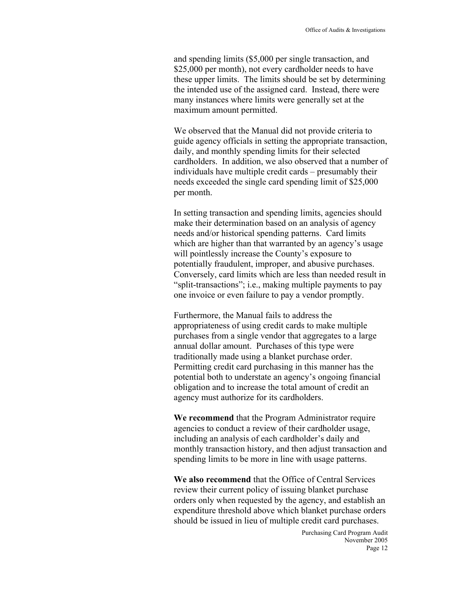and spending limits (\$5,000 per single transaction, and \$25,000 per month), not every cardholder needs to have these upper limits. The limits should be set by determining the intended use of the assigned card. Instead, there were many instances where limits were generally set at the maximum amount permitted.

We observed that the Manual did not provide criteria to guide agency officials in setting the appropriate transaction, daily, and monthly spending limits for their selected cardholders. In addition, we also observed that a number of individuals have multiple credit cards – presumably their needs exceeded the single card spending limit of \$25,000 per month.

In setting transaction and spending limits, agencies should make their determination based on an analysis of agency needs and/or historical spending patterns. Card limits which are higher than that warranted by an agency's usage will pointlessly increase the County's exposure to potentially fraudulent, improper, and abusive purchases. Conversely, card limits which are less than needed result in "split-transactions"; i.e., making multiple payments to pay one invoice or even failure to pay a vendor promptly.

Furthermore, the Manual fails to address the appropriateness of using credit cards to make multiple purchases from a single vendor that aggregates to a large annual dollar amount. Purchases of this type were traditionally made using a blanket purchase order. Permitting credit card purchasing in this manner has the potential both to understate an agency's ongoing financial obligation and to increase the total amount of credit an agency must authorize for its cardholders.

**We recommend** that the Program Administrator require agencies to conduct a review of their cardholder usage, including an analysis of each cardholder's daily and monthly transaction history, and then adjust transaction and spending limits to be more in line with usage patterns.

**We also recommend** that the Office of Central Services review their current policy of issuing blanket purchase orders only when requested by the agency, and establish an expenditure threshold above which blanket purchase orders should be issued in lieu of multiple credit card purchases.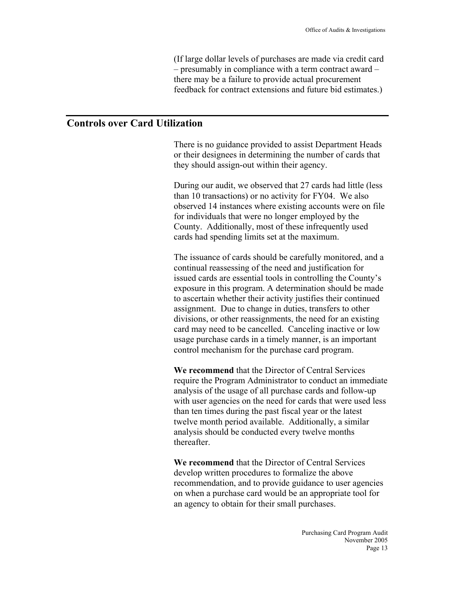(If large dollar levels of purchases are made via credit card – presumably in compliance with a term contract award – there may be a failure to provide actual procurement feedback for contract extensions and future bid estimates.)

## **Controls over Card Utilization**

There is no guidance provided to assist Department Heads or their designees in determining the number of cards that they should assign-out within their agency.

During our audit, we observed that 27 cards had little (less than 10 transactions) or no activity for FY04. We also observed 14 instances where existing accounts were on file for individuals that were no longer employed by the County. Additionally, most of these infrequently used cards had spending limits set at the maximum.

The issuance of cards should be carefully monitored, and a continual reassessing of the need and justification for issued cards are essential tools in controlling the County's exposure in this program. A determination should be made to ascertain whether their activity justifies their continued assignment. Due to change in duties, transfers to other divisions, or other reassignments, the need for an existing card may need to be cancelled. Canceling inactive or low usage purchase cards in a timely manner, is an important control mechanism for the purchase card program.

**We recommend** that the Director of Central Services require the Program Administrator to conduct an immediate analysis of the usage of all purchase cards and follow-up with user agencies on the need for cards that were used less than ten times during the past fiscal year or the latest twelve month period available. Additionally, a similar analysis should be conducted every twelve months thereafter.

**We recommend** that the Director of Central Services develop written procedures to formalize the above recommendation, and to provide guidance to user agencies on when a purchase card would be an appropriate tool for an agency to obtain for their small purchases.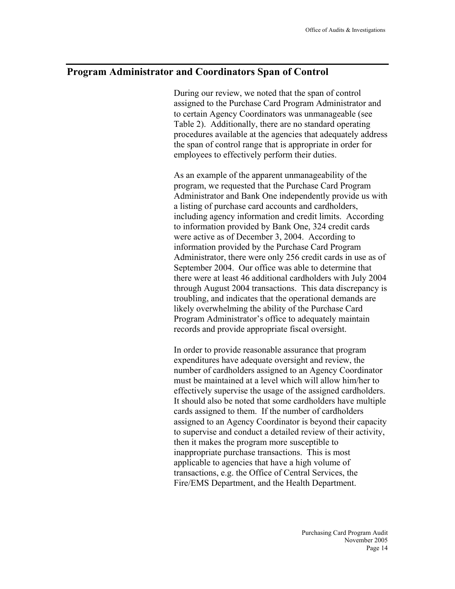## **Program Administrator and Coordinators Span of Control**

During our review, we noted that the span of control assigned to the Purchase Card Program Administrator and to certain Agency Coordinators was unmanageable (see Table 2). Additionally, there are no standard operating procedures available at the agencies that adequately address the span of control range that is appropriate in order for employees to effectively perform their duties.

As an example of the apparent unmanageability of the program, we requested that the Purchase Card Program Administrator and Bank One independently provide us with a listing of purchase card accounts and cardholders, including agency information and credit limits. According to information provided by Bank One, 324 credit cards were active as of December 3, 2004. According to information provided by the Purchase Card Program Administrator, there were only 256 credit cards in use as of September 2004. Our office was able to determine that there were at least 46 additional cardholders with July 2004 through August 2004 transactions. This data discrepancy is troubling, and indicates that the operational demands are likely overwhelming the ability of the Purchase Card Program Administrator's office to adequately maintain records and provide appropriate fiscal oversight.

In order to provide reasonable assurance that program expenditures have adequate oversight and review, the number of cardholders assigned to an Agency Coordinator must be maintained at a level which will allow him/her to effectively supervise the usage of the assigned cardholders. It should also be noted that some cardholders have multiple cards assigned to them. If the number of cardholders assigned to an Agency Coordinator is beyond their capacity to supervise and conduct a detailed review of their activity, then it makes the program more susceptible to inappropriate purchase transactions. This is most applicable to agencies that have a high volume of transactions, e.g. the Office of Central Services, the Fire/EMS Department, and the Health Department.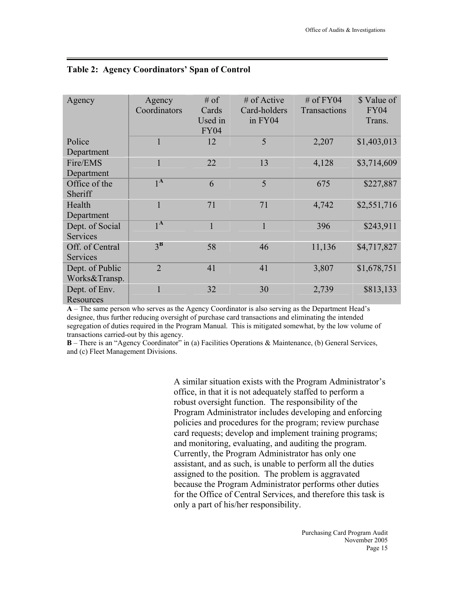| Agency          | Agency<br>Coordinators | $#$ of<br>Cards<br>Used in<br><b>FY04</b> | $#$ of Active<br>Card-holders<br>in FY04 | $#$ of FY04<br>Transactions | \$ Value of<br><b>FY04</b><br>Trans. |
|-----------------|------------------------|-------------------------------------------|------------------------------------------|-----------------------------|--------------------------------------|
| Police          | 1                      | 12                                        | 5                                        | 2,207                       | \$1,403,013                          |
| Department      |                        |                                           |                                          |                             |                                      |
| Fire/EMS        | $\mathbf{1}$           | 22                                        | 13                                       | 4,128                       | \$3,714,609                          |
| Department      |                        |                                           |                                          |                             |                                      |
| Office of the   | 1 <sub>A</sub>         | 6                                         | 5                                        | 675                         | \$227,887                            |
| Sheriff         |                        |                                           |                                          |                             |                                      |
| Health          | $\mathbf{1}$           | 71                                        | 71                                       | 4,742                       | \$2,551,716                          |
| Department      |                        |                                           |                                          |                             |                                      |
| Dept. of Social | 1 <sub>A</sub>         | $\mathbf{1}$                              | 1                                        | 396                         | \$243,911                            |
| <b>Services</b> |                        |                                           |                                          |                             |                                      |
| Off. of Central | $3^{\rm B}$            | 58                                        | 46                                       | 11,136                      | \$4,717,827                          |
| Services        |                        |                                           |                                          |                             |                                      |
| Dept. of Public | $\overline{2}$         | 41                                        | 41                                       | 3,807                       | \$1,678,751                          |
| Works&Transp.   |                        |                                           |                                          |                             |                                      |
| Dept. of Env.   |                        | 32                                        | 30                                       | 2,739                       | \$813,133                            |
| Resources       |                        |                                           |                                          |                             |                                      |

#### **Table 2: Agency Coordinators' Span of Control**

**A** – The same person who serves as the Agency Coordinator is also serving as the Department Head's designee, thus further reducing oversight of purchase card transactions and eliminating the intended segregation of duties required in the Program Manual. This is mitigated somewhat, by the low volume of transactions carried-out by this agency.

**B** – There is an "Agency Coordinator" in (a) Facilities Operations & Maintenance, (b) General Services, and (c) Fleet Management Divisions.

> A similar situation exists with the Program Administrator's office, in that it is not adequately staffed to perform a robust oversight function. The responsibility of the Program Administrator includes developing and enforcing policies and procedures for the program; review purchase card requests; develop and implement training programs; and monitoring, evaluating, and auditing the program. Currently, the Program Administrator has only one assistant, and as such, is unable to perform all the duties assigned to the position. The problem is aggravated because the Program Administrator performs other duties for the Office of Central Services, and therefore this task is only a part of his/her responsibility.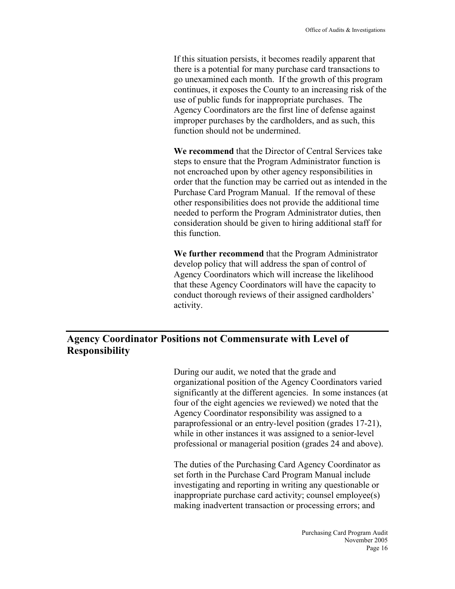If this situation persists, it becomes readily apparent that there is a potential for many purchase card transactions to go unexamined each month. If the growth of this program continues, it exposes the County to an increasing risk of the use of public funds for inappropriate purchases. The Agency Coordinators are the first line of defense against improper purchases by the cardholders, and as such, this function should not be undermined.

**We recommend** that the Director of Central Services take steps to ensure that the Program Administrator function is not encroached upon by other agency responsibilities in order that the function may be carried out as intended in the Purchase Card Program Manual. If the removal of these other responsibilities does not provide the additional time needed to perform the Program Administrator duties, then consideration should be given to hiring additional staff for this function.

**We further recommend** that the Program Administrator develop policy that will address the span of control of Agency Coordinators which will increase the likelihood that these Agency Coordinators will have the capacity to conduct thorough reviews of their assigned cardholders' activity.

## **Agency Coordinator Positions not Commensurate with Level of Responsibility**

During our audit, we noted that the grade and organizational position of the Agency Coordinators varied significantly at the different agencies. In some instances (at four of the eight agencies we reviewed) we noted that the Agency Coordinator responsibility was assigned to a paraprofessional or an entry-level position (grades 17-21), while in other instances it was assigned to a senior-level professional or managerial position (grades 24 and above).

The duties of the Purchasing Card Agency Coordinator as set forth in the Purchase Card Program Manual include investigating and reporting in writing any questionable or inappropriate purchase card activity; counsel employee(s) making inadvertent transaction or processing errors; and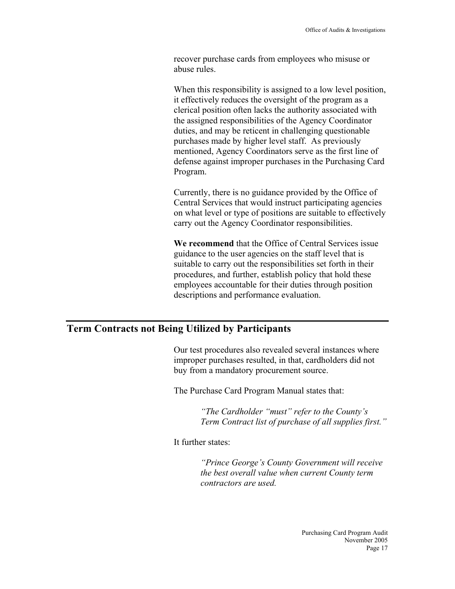recover purchase cards from employees who misuse or abuse rules.

When this responsibility is assigned to a low level position, it effectively reduces the oversight of the program as a clerical position often lacks the authority associated with the assigned responsibilities of the Agency Coordinator duties, and may be reticent in challenging questionable purchases made by higher level staff. As previously mentioned, Agency Coordinators serve as the first line of defense against improper purchases in the Purchasing Card Program.

Currently, there is no guidance provided by the Office of Central Services that would instruct participating agencies on what level or type of positions are suitable to effectively carry out the Agency Coordinator responsibilities.

**We recommend** that the Office of Central Services issue guidance to the user agencies on the staff level that is suitable to carry out the responsibilities set forth in their procedures, and further, establish policy that hold these employees accountable for their duties through position descriptions and performance evaluation.

## **Term Contracts not Being Utilized by Participants**

Our test procedures also revealed several instances where improper purchases resulted, in that, cardholders did not buy from a mandatory procurement source.

The Purchase Card Program Manual states that:

*"The Cardholder "must" refer to the County's Term Contract list of purchase of all supplies first."* 

It further states:

*"Prince George's County Government will receive the best overall value when current County term contractors are used.*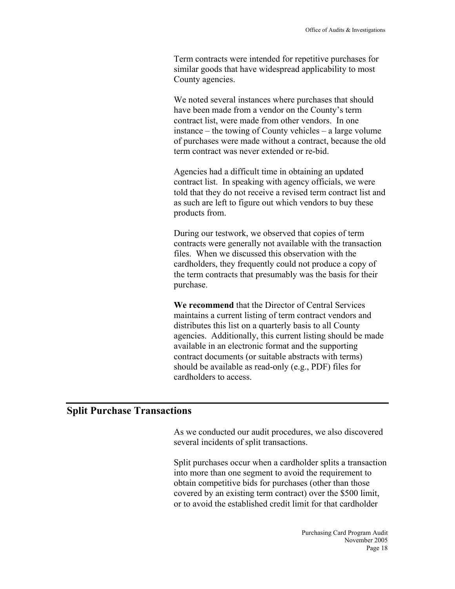Term contracts were intended for repetitive purchases for similar goods that have widespread applicability to most County agencies.

We noted several instances where purchases that should have been made from a vendor on the County's term contract list, were made from other vendors. In one instance – the towing of County vehicles – a large volume of purchases were made without a contract, because the old term contract was never extended or re-bid.

Agencies had a difficult time in obtaining an updated contract list. In speaking with agency officials, we were told that they do not receive a revised term contract list and as such are left to figure out which vendors to buy these products from.

During our testwork, we observed that copies of term contracts were generally not available with the transaction files. When we discussed this observation with the cardholders, they frequently could not produce a copy of the term contracts that presumably was the basis for their purchase.

**We recommend** that the Director of Central Services maintains a current listing of term contract vendors and distributes this list on a quarterly basis to all County agencies. Additionally, this current listing should be made available in an electronic format and the supporting contract documents (or suitable abstracts with terms) should be available as read-only (e.g., PDF) files for cardholders to access.

## **Split Purchase Transactions**

As we conducted our audit procedures, we also discovered several incidents of split transactions.

Split purchases occur when a cardholder splits a transaction into more than one segment to avoid the requirement to obtain competitive bids for purchases (other than those covered by an existing term contract) over the \$500 limit, or to avoid the established credit limit for that cardholder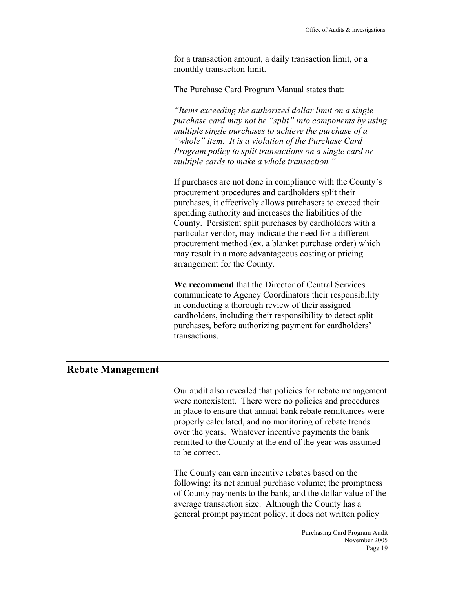for a transaction amount, a daily transaction limit, or a monthly transaction limit.

The Purchase Card Program Manual states that:

*"Items exceeding the authorized dollar limit on a single purchase card may not be "split" into components by using multiple single purchases to achieve the purchase of a "whole" item. It is a violation of the Purchase Card Program policy to split transactions on a single card or multiple cards to make a whole transaction."* 

If purchases are not done in compliance with the County's procurement procedures and cardholders split their purchases, it effectively allows purchasers to exceed their spending authority and increases the liabilities of the County. Persistent split purchases by cardholders with a particular vendor, may indicate the need for a different procurement method (ex. a blanket purchase order) which may result in a more advantageous costing or pricing arrangement for the County.

**We recommend** that the Director of Central Services communicate to Agency Coordinators their responsibility in conducting a thorough review of their assigned cardholders, including their responsibility to detect split purchases, before authorizing payment for cardholders' transactions.

## **Rebate Management**

Our audit also revealed that policies for rebate management were nonexistent. There were no policies and procedures in place to ensure that annual bank rebate remittances were properly calculated, and no monitoring of rebate trends over the years. Whatever incentive payments the bank remitted to the County at the end of the year was assumed to be correct.

The County can earn incentive rebates based on the following: its net annual purchase volume; the promptness of County payments to the bank; and the dollar value of the average transaction size. Although the County has a general prompt payment policy, it does not written policy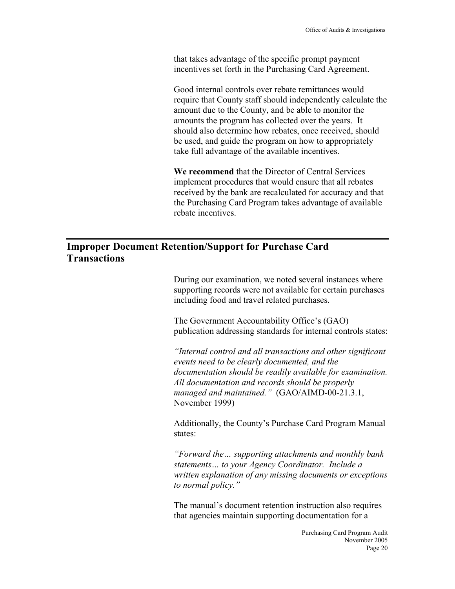that takes advantage of the specific prompt payment incentives set forth in the Purchasing Card Agreement.

Good internal controls over rebate remittances would require that County staff should independently calculate the amount due to the County, and be able to monitor the amounts the program has collected over the years. It should also determine how rebates, once received, should be used, and guide the program on how to appropriately take full advantage of the available incentives.

**We recommend** that the Director of Central Services implement procedures that would ensure that all rebates received by the bank are recalculated for accuracy and that the Purchasing Card Program takes advantage of available rebate incentives.

## **Improper Document Retention/Support for Purchase Card Transactions**

During our examination, we noted several instances where supporting records were not available for certain purchases including food and travel related purchases.

The Government Accountability Office's (GAO) publication addressing standards for internal controls states:

*"Internal control and all transactions and other significant events need to be clearly documented, and the documentation should be readily available for examination. All documentation and records should be properly managed and maintained."* (GAO/AIMD-00-21.3.1, November 1999)

Additionally, the County's Purchase Card Program Manual states:

*"Forward the… supporting attachments and monthly bank statements… to your Agency Coordinator. Include a written explanation of any missing documents or exceptions to normal policy."*

The manual's document retention instruction also requires that agencies maintain supporting documentation for a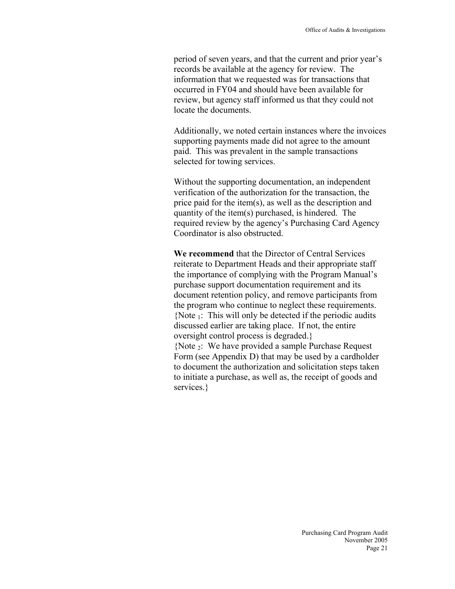period of seven years, and that the current and prior year's records be available at the agency for review. The information that we requested was for transactions that occurred in FY04 and should have been available for review, but agency staff informed us that they could not locate the documents.

Additionally, we noted certain instances where the invoices supporting payments made did not agree to the amount paid. This was prevalent in the sample transactions selected for towing services.

Without the supporting documentation, an independent verification of the authorization for the transaction, the price paid for the item(s), as well as the description and quantity of the item(s) purchased, is hindered. The required review by the agency's Purchasing Card Agency Coordinator is also obstructed.

**We recommend** that the Director of Central Services reiterate to Department Heads and their appropriate staff the importance of complying with the Program Manual's purchase support documentation requirement and its document retention policy, and remove participants from the program who continue to neglect these requirements. {Note 1: This will only be detected if the periodic audits discussed earlier are taking place. If not, the entire oversight control process is degraded.} {Note 2: We have provided a sample Purchase Request Form (see Appendix D) that may be used by a cardholder to document the authorization and solicitation steps taken to initiate a purchase, as well as, the receipt of goods and services.}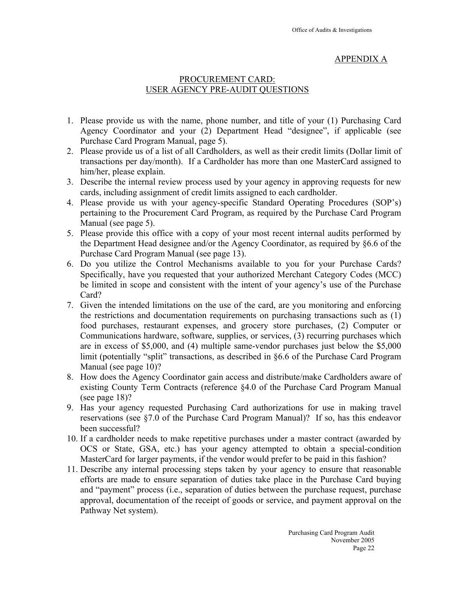## APPENDIX A

## PROCUREMENT CARD: USER AGENCY PRE-AUDIT QUESTIONS

- 1. Please provide us with the name, phone number, and title of your (1) Purchasing Card Agency Coordinator and your (2) Department Head "designee", if applicable (see Purchase Card Program Manual, page 5).
- 2. Please provide us of a list of all Cardholders, as well as their credit limits (Dollar limit of transactions per day/month). If a Cardholder has more than one MasterCard assigned to him/her, please explain.
- 3. Describe the internal review process used by your agency in approving requests for new cards, including assignment of credit limits assigned to each cardholder.
- 4. Please provide us with your agency-specific Standard Operating Procedures (SOP's) pertaining to the Procurement Card Program, as required by the Purchase Card Program Manual (see page 5).
- 5. Please provide this office with a copy of your most recent internal audits performed by the Department Head designee and/or the Agency Coordinator, as required by §6.6 of the Purchase Card Program Manual (see page 13).
- 6. Do you utilize the Control Mechanisms available to you for your Purchase Cards? Specifically, have you requested that your authorized Merchant Category Codes (MCC) be limited in scope and consistent with the intent of your agency's use of the Purchase Card?
- 7. Given the intended limitations on the use of the card, are you monitoring and enforcing the restrictions and documentation requirements on purchasing transactions such as (1) food purchases, restaurant expenses, and grocery store purchases, (2) Computer or Communications hardware, software, supplies, or services, (3) recurring purchases which are in excess of \$5,000, and (4) multiple same-vendor purchases just below the \$5,000 limit (potentially "split" transactions, as described in §6.6 of the Purchase Card Program Manual (see page 10)?
- 8. How does the Agency Coordinator gain access and distribute/make Cardholders aware of existing County Term Contracts (reference §4.0 of the Purchase Card Program Manual (see page 18)?
- 9. Has your agency requested Purchasing Card authorizations for use in making travel reservations (see §7.0 of the Purchase Card Program Manual)? If so, has this endeavor been successful?
- 10. If a cardholder needs to make repetitive purchases under a master contract (awarded by OCS or State, GSA, etc.) has your agency attempted to obtain a special-condition MasterCard for larger payments, if the vendor would prefer to be paid in this fashion?
- 11. Describe any internal processing steps taken by your agency to ensure that reasonable efforts are made to ensure separation of duties take place in the Purchase Card buying and "payment" process (i.e., separation of duties between the purchase request, purchase approval, documentation of the receipt of goods or service, and payment approval on the Pathway Net system).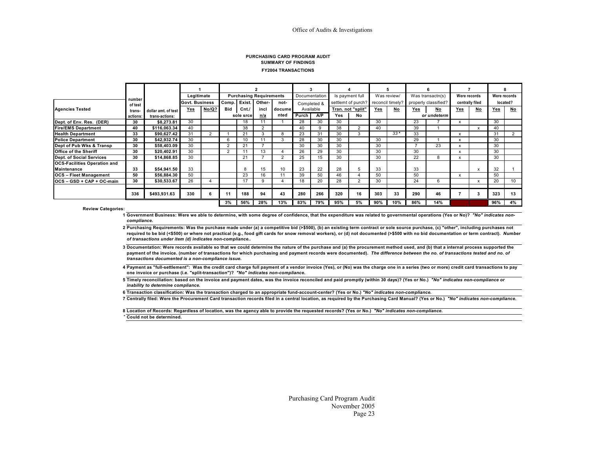#### **FY2004 TRANSACTIONSSUMMARY OF FINDINGSPURCHASING CARD PROGRAM AUDIT**

|                                     |                   |                     | Legitimate     |       |     |                | <b>Purchasing Requirements</b> |        | Documentation |             |     | Is payment full    |                  | Was review/ |     | Was transactn(s)     | Were records |                 | Were records |           |
|-------------------------------------|-------------------|---------------------|----------------|-------|-----|----------------|--------------------------------|--------|---------------|-------------|-----|--------------------|------------------|-------------|-----|----------------------|--------------|-----------------|--------------|-----------|
|                                     | number<br>of test |                     | Govt. Business |       |     | Comp. Exist.   | Other-                         | not-   |               | Completed & |     | settlemt of purch? | reconcil timely? |             |     | properly classified? |              | centrally filed |              | located?  |
| Agencies Tested                     | trans.            | dollar amt, of test | Yes            | No/Q? | Bid | Cnt.           | incl                           | docume |               | Available   |     | Tran. not "split"  | Yes              | <u>No</u>   | Yes | <u>No</u>            | Yes          | <u>No</u>       | Yes          | <u>No</u> |
|                                     | actions:          | trans-actions:      |                |       |     | sole srce      | n/a                            | nted   | Purch         | AP          | Yes | No                 |                  |             |     | or undeterm          |              |                 |              |           |
| Dept. of Env. Res. (DER)            | 30                | \$8.273.81          | 30             |       |     | 18             | 11                             |        | 28            | 30          | 30  |                    | 30               |             | 23  |                      | x            |                 | 30           |           |
| <b>Fire/EMS Department</b>          | 40                | \$116.063.34        | 40             |       |     | 38             |                                |        | 40            | 9           | 38  |                    | 40               |             | 39  |                      |              |                 | 40           |           |
| <b>Health Department</b>            | 33                | \$90,627.42         | 31             | 2     |     | 2 <sub>1</sub> |                                |        | 23            | 31          | 30  |                    |                  | $33*$       | 33  |                      | X            |                 | 31           |           |
| <b>Police Department</b>            | 30                | \$42,932.74         | 30             |       | 6   | 10             | 11                             | $\sim$ | 28            | 30          | 30  |                    | 30               |             | 29  |                      |              |                 | 30           |           |
| Dept of Pub Wks & Transp            | 30                | \$58,403.09         | 30             |       |     | 21             |                                |        | 30            | 30          | 30  |                    | 30               |             |     | 23                   |              |                 | 30           |           |
| <b>Office of the Sheriff</b>        | 30                | \$20.402.91         | 30             |       |     |                | 13                             |        | 26            | 29          | 30  |                    | 30               |             | 30  |                      |              |                 | 30           |           |
| Dept. of Social Services            | 30                | \$14.868.85         | 30             |       |     | 21             |                                | $\sim$ | 25            | 15          | 30  |                    | 30               |             | 22  | 8                    | x            |                 | 30           |           |
| <b>OCS-Facilities Operation and</b> |                   |                     |                |       |     |                |                                |        |               |             |     |                    |                  |             |     |                      |              |                 |              |           |
| <b>Maintenance</b>                  | 33                | \$54,941.50         | 33             |       |     | 8              | 15                             | 10     | 23            | 22          | 28  |                    | 33               |             | 33  |                      |              |                 | 32           |           |
| <b>OCS</b> - Fleet Management       | 50                | \$56.884.30         | 50             |       |     | 23             | 16                             | 11     | 39            | 50          | 46  |                    | 50               |             | 50  |                      |              |                 | 50           |           |
| IOCS - GSD + CAP + OC-main          | 30                | \$30.533.67         | 26             |       |     | 17             |                                |        | 18            | 20          | 28  |                    | 30               |             | 24  | 6                    |              |                 | 20           | 10        |
|                                     |                   |                     |                |       |     |                |                                |        |               |             |     |                    |                  |             |     |                      |              |                 |              |           |
|                                     | 336               | \$493,931.63        | 330            |       |     | 188            | 94                             | 43     | 280           | 266         | 320 | 16                 | 303              | 33          | 290 | 46                   |              |                 | 323          | 13        |
|                                     |                   |                     |                |       | 3%  | 56%            | 28%                            | 13%    | 83%           | 79%         | 95% | 5%                 | 90%              | 10%         | 86% | 14%                  |              |                 | 96%          | 4%        |

**Review Categories:**

**1 Government Business: Were we able to determine, with some degree of confidence, that the expenditure was related to governmental operations (Yes or No)?** *"No" indicates noncompliance.*

**2Purchasing Requirements: Was the purchase made under (a) a competitive bid (>\$500), (b) an existing term contract or sole source purchase, (c) "other", including purchases not**  required to be bid (<\$500) or where not practical (e.g., food gift cards for snow removal workers), or (d) not documented (>\$500 with no bid documentation or term contract). Number *of transactions under item (d) indicates non-compliance..*

**3 Documentation: Were records available so that we could determine the nature of the purchase and (a) the procurement method used, and (b) that a internal process supported the payment of the invoice. (number of transactions for which purchasing and payment records were documented).** *The difference between the no. of transactions tested and no. of transactions documented is a non-compliance issue.*

**4Payment as "full-settlement": Was the credit card charge full payment of a vendor invoice (Yes), or (No) was the charge one in a series (two or more) credit card transactions to pay one invoice or purchase (i.e. "split-transaction")?** *"No" indicates non-compliance.*

**5 Timely reconciliation: based on the invoice and payment dates, was the invoice reconciled and paid promptly (within 30 days)? (Yes or No.)** *"No" indicates non-compliance or inability to determine compliance.*

**6 Transaction classification: Was the transaction charged to an appropriate fund-account-center? (Yes or No.)** *"No" indicates non-compliance.*

**7 Centrally filed: Were the Procurement Card transaction records filed in a central location, as required by the Purchasing Card Manual? (Yes or No.)** *"No" indicates non-compliance.*

**8 Location of Records: Regardless of location, was the agency able to provide the requested records? (Yes or No.)** *"No" indicates non-compliance.* \* **Could not be determined.**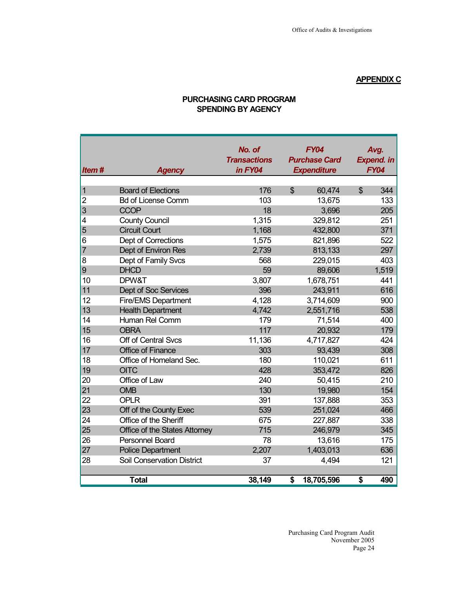## **APPENDIX C**

| Item#          | <b>Agency</b>                     | No. of<br><b>Transactions</b><br>in FY04 |                | <b>FY04</b><br><b>Purchase Card</b><br><b>Expenditure</b> |                | Avg.<br><b>Expend. in</b><br><b>FY04</b> |
|----------------|-----------------------------------|------------------------------------------|----------------|-----------------------------------------------------------|----------------|------------------------------------------|
| $\overline{1}$ | <b>Board of Elections</b>         | 176                                      | $\mathfrak{S}$ | 60,474                                                    | $\mathfrak{S}$ | 344                                      |
| $\overline{c}$ | <b>Bd of License Comm</b>         | 103                                      |                | 13,675                                                    |                | 133                                      |
| 3              | <b>CCOP</b>                       | 18                                       |                | 3,696                                                     |                | 205                                      |
| 4              | <b>County Council</b>             | 1,315                                    |                | 329,812                                                   |                | 251                                      |
| 5              | <b>Circuit Court</b>              | 1,168                                    |                | 432,800                                                   |                | 371                                      |
| 6              | Dept of Corrections               | 1,575                                    |                | 821,896                                                   |                | 522                                      |
| $\overline{7}$ | Dept of Environ Res               | 2,739                                    |                | 813,133                                                   |                | 297                                      |
| 8              | Dept of Family Svcs               | 568                                      |                | 229,015                                                   |                | 403                                      |
| 9              | <b>DHCD</b>                       | 59                                       |                | 89,606                                                    |                | 1,519                                    |
| 10             | DPW&T                             | 3,807                                    |                | 1,678,751                                                 |                | 441                                      |
| 11             | Dept of Soc Services              | 396                                      |                | 243,911                                                   |                | 616                                      |
| 12             | <b>Fire/EMS Department</b>        | 4,128                                    |                | 3,714,609                                                 |                | 900                                      |
| 13             | <b>Health Department</b>          | 4,742                                    |                | 2,551,716                                                 |                | 538                                      |
| 14             | Human Rel Comm                    | 179                                      |                | 71,514                                                    |                | 400                                      |
| 15             | <b>OBRA</b>                       | 117                                      |                | 20,932                                                    |                | 179                                      |
| 16             | Off of Central Svcs               | 11,136                                   |                | 4,717,827                                                 |                | 424                                      |
| 17             | <b>Office of Finance</b>          | 303                                      |                | 93,439                                                    |                | 308                                      |
| 18             | Office of Homeland Sec.           | 180                                      |                | 110,021                                                   |                | 611                                      |
| 19             | <b>OITC</b>                       | 428                                      |                | 353,472                                                   |                | 826                                      |
| 20             | Office of Law                     | 240                                      |                | 50,415                                                    |                | 210                                      |
| 21             | <b>OMB</b>                        | 130                                      |                | 19,980                                                    |                | 154                                      |
| 22             | <b>OPLR</b>                       | 391                                      |                | 137,888                                                   |                | 353                                      |
| 23             | Off of the County Exec            | 539                                      |                | 251,024                                                   |                | 466                                      |
| 24             | Office of the Sheriff             | 675                                      |                | 227,887                                                   |                | 338                                      |
| 25             | Office of the States Attorney     | 715                                      |                | 246,979                                                   |                | 345                                      |
| 26             | <b>Personnel Board</b>            | 78                                       |                | 13,616                                                    |                | 175                                      |
| 27             | <b>Police Department</b>          | 2,207                                    |                | 1,403,013                                                 |                | 636                                      |
| 28             | <b>Soil Conservation District</b> | 37                                       |                | 4,494                                                     |                | 121                                      |
|                | <b>Total</b>                      | 38,149                                   | \$             | 18,705,596                                                | \$             | 490                                      |

## **PURCHASING CARD PROGRAM SPENDING BY AGENCY**

 Purchasing Card Program Audit November 2005<br>Page 24 Page 24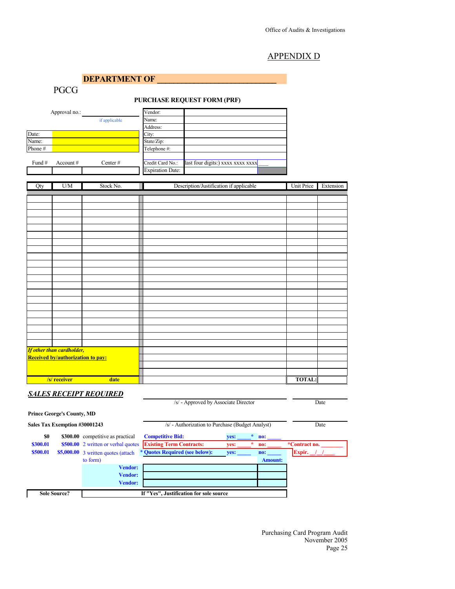#### APPENDIX D

**DEPARTMENT OF** 

PGCG

#### **PURCHASE REQUEST FORM (PRF)**

| Approval no.: |             |               | Vendor:                 |                                   |
|---------------|-------------|---------------|-------------------------|-----------------------------------|
|               |             | if applicable | Name:                   |                                   |
|               |             |               | Address:                |                                   |
| Date:         |             |               | City:                   |                                   |
| Name:         |             |               | State/Zip:              |                                   |
| Phone #       |             |               | Telephone #:            |                                   |
|               |             |               |                         |                                   |
| Fund #        | Account $#$ | Center $#$    | Credit Card No.:        | last four digits:) xxxx xxxx xxxx |
|               |             |               | <b>Expiration Date:</b> |                                   |

| Qty | U/M                               | Stock No. | Description/Justification if applicable<br>Unit Price | Extension |
|-----|-----------------------------------|-----------|-------------------------------------------------------|-----------|
|     |                                   |           |                                                       |           |
|     |                                   |           |                                                       |           |
|     |                                   |           |                                                       |           |
|     |                                   |           |                                                       |           |
|     |                                   |           |                                                       |           |
|     |                                   |           |                                                       |           |
|     |                                   |           |                                                       |           |
|     |                                   |           |                                                       |           |
|     |                                   |           |                                                       |           |
|     |                                   |           |                                                       |           |
|     |                                   |           |                                                       |           |
|     |                                   |           |                                                       |           |
|     |                                   |           |                                                       |           |
|     |                                   |           |                                                       |           |
|     |                                   |           |                                                       |           |
|     |                                   |           |                                                       |           |
|     |                                   |           |                                                       |           |
|     |                                   |           |                                                       |           |
|     |                                   |           |                                                       |           |
|     |                                   |           |                                                       |           |
|     |                                   |           |                                                       |           |
|     | <b>If other than cardholder,</b>  |           |                                                       |           |
|     | Received by/authorization to pay: |           |                                                       |           |
|     |                                   |           |                                                       |           |
|     |                                   |           |                                                       |           |
|     | /s/ receiver                      | date      | <b>TOTAL:</b>                                         |           |

#### *SALES RECEIPT REQUIRED*

|                     |                                   |                                     | /s/ - Approved by Associate Director             |      |                | Date                 |
|---------------------|-----------------------------------|-------------------------------------|--------------------------------------------------|------|----------------|----------------------|
|                     | <b>Prince George's County, MD</b> |                                     |                                                  |      |                |                      |
|                     | Sales Tax Exemption #30001243     |                                     | /s/ - Authorization to Purchase (Budget Analyst) |      |                | Date                 |
| SO.                 | \$300.00                          | competitive as practical            | <b>Competitive Bid:</b>                          | ves: | $\ast$<br>no:  |                      |
| \$300.01            |                                   | \$500.00 2 written or verbal quotes | <b>Existing Term Contracts:</b>                  | ves: | ÷.<br>no:      | <i>*Contract no.</i> |
| \$500.01            |                                   | \$5,000.00 3 written quotes (attach | * Quotes Required (see below):                   | yes: | no:            | Expir.               |
|                     |                                   | to form)                            |                                                  |      | <b>Amount:</b> |                      |
|                     |                                   | <b>Vendor:</b>                      |                                                  |      |                |                      |
|                     |                                   | <b>Vendor:</b>                      |                                                  |      |                |                      |
|                     |                                   | <b>Vendor:</b>                      |                                                  |      |                |                      |
| <b>Sole Source?</b> |                                   |                                     | If "Yes", Justification for sole source          |      |                |                      |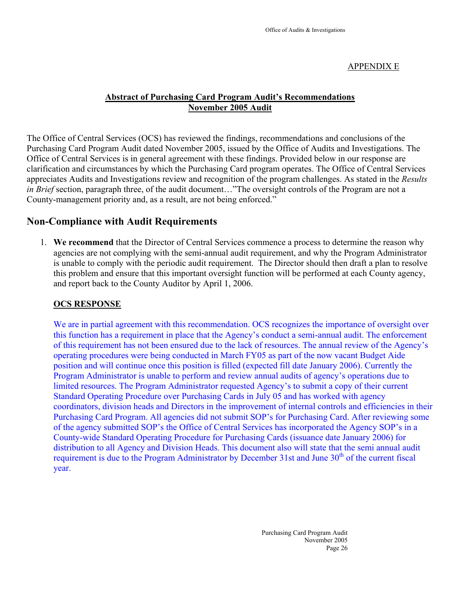#### APPENDIX E

## **Abstract of Purchasing Card Program Audit's Recommendations November 2005 Audit**

The Office of Central Services (OCS) has reviewed the findings, recommendations and conclusions of the Purchasing Card Program Audit dated November 2005, issued by the Office of Audits and Investigations. The Office of Central Services is in general agreement with these findings. Provided below in our response are clarification and circumstances by which the Purchasing Card program operates. The Office of Central Services appreciates Audits and Investigations review and recognition of the program challenges. As stated in the *Results in Brief* section, paragraph three, of the audit document…"The oversight controls of the Program are not a County-management priority and, as a result, are not being enforced."

## **Non-Compliance with Audit Requirements**

1. **We recommend** that the Director of Central Services commence a process to determine the reason why agencies are not complying with the semi-annual audit requirement, and why the Program Administrator is unable to comply with the periodic audit requirement. The Director should then draft a plan to resolve this problem and ensure that this important oversight function will be performed at each County agency, and report back to the County Auditor by April 1, 2006.

#### **OCS RESPONSE**

We are in partial agreement with this recommendation. OCS recognizes the importance of oversight over this function has a requirement in place that the Agency's conduct a semi-annual audit. The enforcement of this requirement has not been ensured due to the lack of resources. The annual review of the Agency's operating procedures were being conducted in March FY05 as part of the now vacant Budget Aide position and will continue once this position is filled (expected fill date January 2006). Currently the Program Administrator is unable to perform and review annual audits of agency's operations due to limited resources. The Program Administrator requested Agency's to submit a copy of their current Standard Operating Procedure over Purchasing Cards in July 05 and has worked with agency coordinators, division heads and Directors in the improvement of internal controls and efficiencies in their Purchasing Card Program. All agencies did not submit SOP's for Purchasing Card. After reviewing some of the agency submitted SOP's the Office of Central Services has incorporated the Agency SOP's in a County-wide Standard Operating Procedure for Purchasing Cards (issuance date January 2006) for distribution to all Agency and Division Heads. This document also will state that the semi annual audit requirement is due to the Program Administrator by December 31st and June 30<sup>th</sup> of the current fiscal year.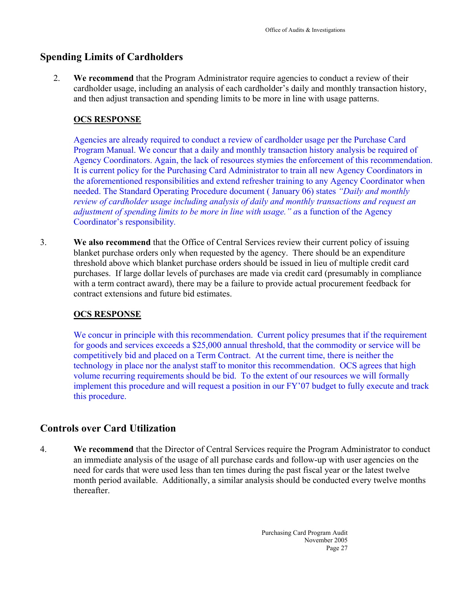## **Spending Limits of Cardholders**

2. **We recommend** that the Program Administrator require agencies to conduct a review of their cardholder usage, including an analysis of each cardholder's daily and monthly transaction history, and then adjust transaction and spending limits to be more in line with usage patterns.

## **OCS RESPONSE**

Agencies are already required to conduct a review of cardholder usage per the Purchase Card Program Manual. We concur that a daily and monthly transaction history analysis be required of Agency Coordinators. Again, the lack of resources stymies the enforcement of this recommendation. It is current policy for the Purchasing Card Administrator to train all new Agency Coordinators in the aforementioned responsibilities and extend refresher training to any Agency Coordinator when needed. The Standard Operating Procedure document ( January 06) states *"Daily and monthly review of cardholder usage including analysis of daily and monthly transactions and request an adjustment of spending limits to be more in line with usage." a*s a function of the Agency Coordinator's responsibility*.*

3. **We also recommend** that the Office of Central Services review their current policy of issuing blanket purchase orders only when requested by the agency. There should be an expenditure threshold above which blanket purchase orders should be issued in lieu of multiple credit card purchases. If large dollar levels of purchases are made via credit card (presumably in compliance with a term contract award), there may be a failure to provide actual procurement feedback for contract extensions and future bid estimates.

## **OCS RESPONSE**

We concur in principle with this recommendation. Current policy presumes that if the requirement for goods and services exceeds a \$25,000 annual threshold, that the commodity or service will be competitively bid and placed on a Term Contract. At the current time, there is neither the technology in place nor the analyst staff to monitor this recommendation. OCS agrees that high volume recurring requirements should be bid. To the extent of our resources we will formally implement this procedure and will request a position in our FY'07 budget to fully execute and track this procedure.

## **Controls over Card Utilization**

4. **We recommend** that the Director of Central Services require the Program Administrator to conduct an immediate analysis of the usage of all purchase cards and follow-up with user agencies on the need for cards that were used less than ten times during the past fiscal year or the latest twelve month period available. Additionally, a similar analysis should be conducted every twelve months thereafter.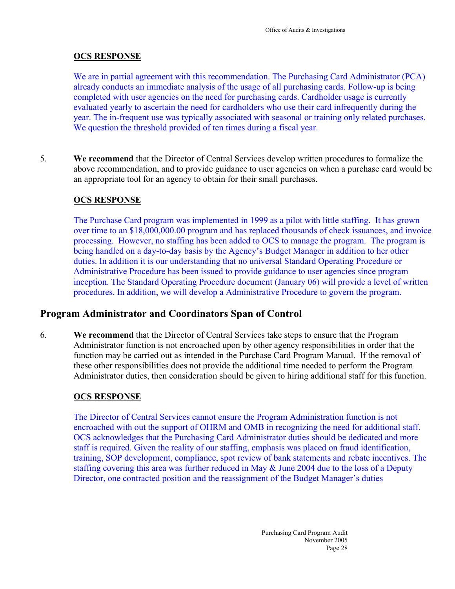## **OCS RESPONSE**

We are in partial agreement with this recommendation. The Purchasing Card Administrator (PCA) already conducts an immediate analysis of the usage of all purchasing cards. Follow-up is being completed with user agencies on the need for purchasing cards. Cardholder usage is currently evaluated yearly to ascertain the need for cardholders who use their card infrequently during the year. The in-frequent use was typically associated with seasonal or training only related purchases. We question the threshold provided of ten times during a fiscal year.

5. **We recommend** that the Director of Central Services develop written procedures to formalize the above recommendation, and to provide guidance to user agencies on when a purchase card would be an appropriate tool for an agency to obtain for their small purchases.

## **OCS RESPONSE**

The Purchase Card program was implemented in 1999 as a pilot with little staffing. It has grown over time to an \$18,000,000.00 program and has replaced thousands of check issuances, and invoice processing. However, no staffing has been added to OCS to manage the program. The program is being handled on a day-to-day basis by the Agency's Budget Manager in addition to her other duties. In addition it is our understanding that no universal Standard Operating Procedure or Administrative Procedure has been issued to provide guidance to user agencies since program inception. The Standard Operating Procedure document (January 06) will provide a level of written procedures. In addition, we will develop a Administrative Procedure to govern the program.

## **Program Administrator and Coordinators Span of Control**

6. **We recommend** that the Director of Central Services take steps to ensure that the Program Administrator function is not encroached upon by other agency responsibilities in order that the function may be carried out as intended in the Purchase Card Program Manual. If the removal of these other responsibilities does not provide the additional time needed to perform the Program Administrator duties, then consideration should be given to hiring additional staff for this function.

## **OCS RESPONSE**

The Director of Central Services cannot ensure the Program Administration function is not encroached with out the support of OHRM and OMB in recognizing the need for additional staff. OCS acknowledges that the Purchasing Card Administrator duties should be dedicated and more staff is required. Given the reality of our staffing, emphasis was placed on fraud identification, training, SOP development, compliance, spot review of bank statements and rebate incentives. The staffing covering this area was further reduced in May & June 2004 due to the loss of a Deputy Director, one contracted position and the reassignment of the Budget Manager's duties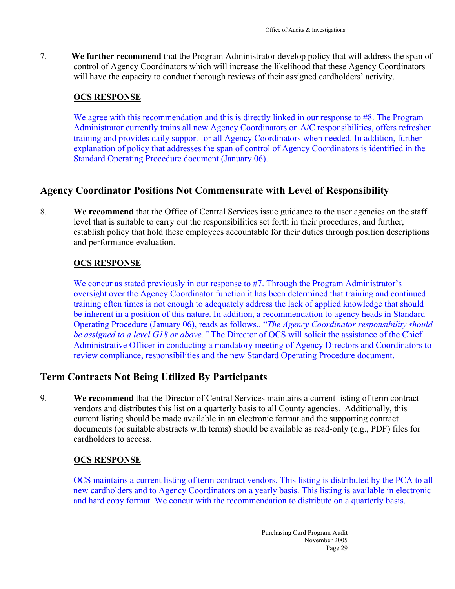7. **We further recommend** that the Program Administrator develop policy that will address the span of control of Agency Coordinators which will increase the likelihood that these Agency Coordinators will have the capacity to conduct thorough reviews of their assigned cardholders' activity.

## **OCS RESPONSE**

We agree with this recommendation and this is directly linked in our response to #8. The Program Administrator currently trains all new Agency Coordinators on A/C responsibilities, offers refresher training and provides daily support for all Agency Coordinators when needed. In addition, further explanation of policy that addresses the span of control of Agency Coordinators is identified in the Standard Operating Procedure document (January 06).

## **Agency Coordinator Positions Not Commensurate with Level of Responsibility**

8. **We recommend** that the Office of Central Services issue guidance to the user agencies on the staff level that is suitable to carry out the responsibilities set forth in their procedures, and further, establish policy that hold these employees accountable for their duties through position descriptions and performance evaluation.

## **OCS RESPONSE**

We concur as stated previously in our response to #7. Through the Program Administrator's oversight over the Agency Coordinator function it has been determined that training and continued training often times is not enough to adequately address the lack of applied knowledge that should be inherent in a position of this nature. In addition, a recommendation to agency heads in Standard Operating Procedure (January 06), reads as follows.. "*The Agency Coordinator responsibility should be assigned to a level G18 or above."* The Director of OCS will solicit the assistance of the Chief Administrative Officer in conducting a mandatory meeting of Agency Directors and Coordinators to review compliance, responsibilities and the new Standard Operating Procedure document.

## **Term Contracts Not Being Utilized By Participants**

9. **We recommend** that the Director of Central Services maintains a current listing of term contract vendors and distributes this list on a quarterly basis to all County agencies. Additionally, this current listing should be made available in an electronic format and the supporting contract documents (or suitable abstracts with terms) should be available as read-only (e.g., PDF) files for cardholders to access.

## **OCS RESPONSE**

OCS maintains a current listing of term contract vendors. This listing is distributed by the PCA to all new cardholders and to Agency Coordinators on a yearly basis. This listing is available in electronic and hard copy format. We concur with the recommendation to distribute on a quarterly basis.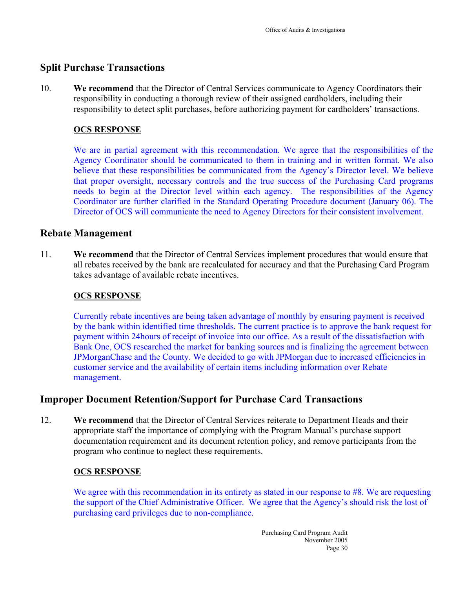## **Split Purchase Transactions**

10. **We recommend** that the Director of Central Services communicate to Agency Coordinators their responsibility in conducting a thorough review of their assigned cardholders, including their responsibility to detect split purchases, before authorizing payment for cardholders' transactions.

## **OCS RESPONSE**

We are in partial agreement with this recommendation. We agree that the responsibilities of the Agency Coordinator should be communicated to them in training and in written format. We also believe that these responsibilities be communicated from the Agency's Director level. We believe that proper oversight, necessary controls and the true success of the Purchasing Card programs needs to begin at the Director level within each agency. The responsibilities of the Agency Coordinator are further clarified in the Standard Operating Procedure document (January 06). The Director of OCS will communicate the need to Agency Directors for their consistent involvement.

## **Rebate Management**

11. **We recommend** that the Director of Central Services implement procedures that would ensure that all rebates received by the bank are recalculated for accuracy and that the Purchasing Card Program takes advantage of available rebate incentives.

#### **OCS RESPONSE**

Currently rebate incentives are being taken advantage of monthly by ensuring payment is received by the bank within identified time thresholds. The current practice is to approve the bank request for payment within 24hours of receipt of invoice into our office. As a result of the dissatisfaction with Bank One, OCS researched the market for banking sources and is finalizing the agreement between JPMorganChase and the County. We decided to go with JPMorgan due to increased efficiencies in customer service and the availability of certain items including information over Rebate management.

## **Improper Document Retention/Support for Purchase Card Transactions**

12. **We recommend** that the Director of Central Services reiterate to Department Heads and their appropriate staff the importance of complying with the Program Manual's purchase support documentation requirement and its document retention policy, and remove participants from the program who continue to neglect these requirements.

#### **OCS RESPONSE**

We agree with this recommendation in its entirety as stated in our response to #8. We are requesting the support of the Chief Administrative Officer. We agree that the Agency's should risk the lost of purchasing card privileges due to non-compliance.